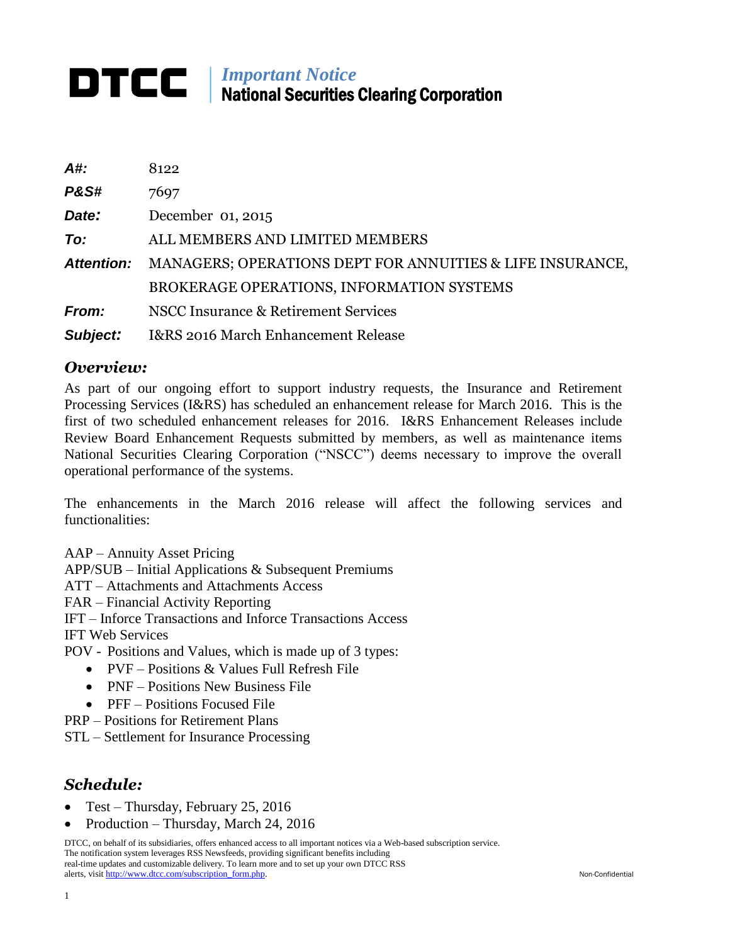# *Important Notice* National Securities Clearing Corporation

| A#:               | 8122                                                      |
|-------------------|-----------------------------------------------------------|
| <b>P&amp;S#</b>   | 7697                                                      |
| Date:             | December 01, 2015                                         |
| To:               | ALL MEMBERS AND LIMITED MEMBERS                           |
| <b>Attention:</b> | MANAGERS; OPERATIONS DEPT FOR ANNUITIES & LIFE INSURANCE, |
|                   | BROKERAGE OPERATIONS, INFORMATION SYSTEMS                 |
| <b>From:</b>      | NSCC Insurance & Retirement Services                      |
| Subject:          | I&RS 2016 March Enhancement Release                       |

#### *Overview:*

As part of our ongoing effort to support industry requests, the Insurance and Retirement Processing Services (I&RS) has scheduled an enhancement release for March 2016. This is the first of two scheduled enhancement releases for 2016. I&RS Enhancement Releases include Review Board Enhancement Requests submitted by members, as well as maintenance items National Securities Clearing Corporation ("NSCC") deems necessary to improve the overall operational performance of the systems.

The enhancements in the March 2016 release will affect the following services and functionalities:

AAP – Annuity Asset Pricing

APP/SUB – Initial Applications & Subsequent Premiums

ATT – Attachments and Attachments Access

FAR – Financial Activity Reporting

IFT – Inforce Transactions and Inforce Transactions Access

IFT Web Services

POV - Positions and Values, which is made up of 3 types:

- PVF Positions & Values Full Refresh File
- PNF Positions New Business File
- PFF Positions Focused File
- PRP Positions for Retirement Plans
- STL Settlement for Insurance Processing

#### *Schedule:*

- Test Thursday, February 25, 2016
- Production Thursday, March 24, 2016

DTCC, on behalf of its subsidiaries, offers enhanced access to all important notices via a Web-based subscription service. The notification system leverages RSS Newsfeeds, providing significant benefits including real-time updates and customizable delivery. To learn more and to set up your own DTCC RSS alerts, visit [http://www.dtcc.com/subscription\\_form.php.](http://www.dtcc.com/subscription_form.php) Non-Confidential